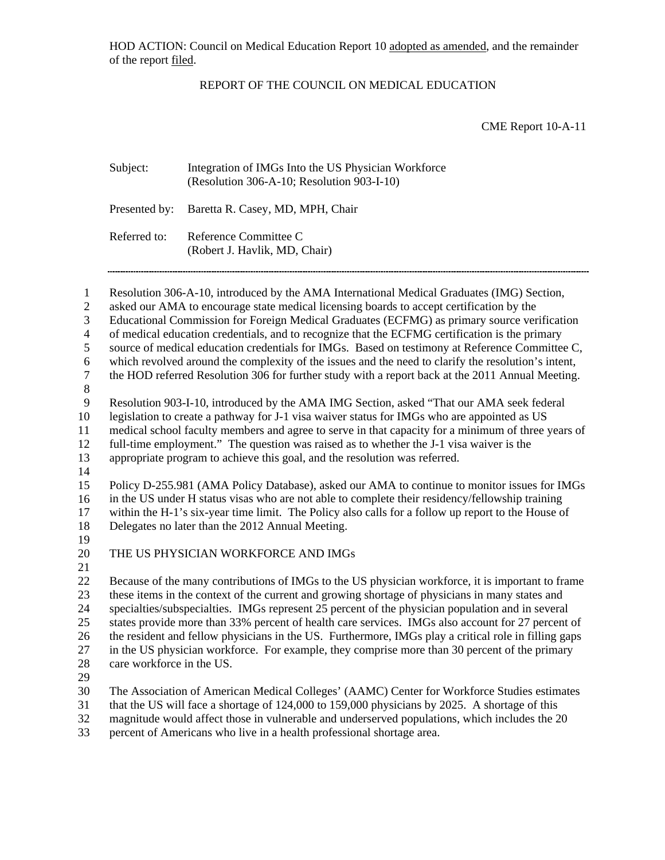HOD ACTION: Council on Medical Education Report 10 adopted as amended, and the remainder of the report filed.

## REPORT OF THE COUNCIL ON MEDICAL EDUCATION

CME Report 10-A-11

| Subject:     | Integration of IMGs Into the US Physician Workforce<br>(Resolution 306-A-10; Resolution 903-I-10) |
|--------------|---------------------------------------------------------------------------------------------------|
|              | Presented by: Baretta R. Casey, MD, MPH, Chair                                                    |
| Referred to: | Reference Committee C<br>(Robert J. Havlik, MD, Chair)                                            |

Resolution 306-A-10, introduced by the AMA International Medical Graduates (IMG) Section, 1

asked our AMA to encourage state medical licensing boards to accept certification by the 2

Educational Commission for Foreign Medical Graduates (ECFMG) as primary source verification 3

of medical education credentials, and to recognize that the ECFMG certification is the primary 4

source of medical education credentials for IMGs. Based on testimony at Reference Committee C, 5

which revolved around the complexity of the issues and the need to clarify the resolution's intent, the HOD referred Resolution 306 for further study with a report back at the 2011 Annual Meeting. 6 7

- 8
- 9

Resolution 903-I-10, introduced by the AMA IMG Section, asked "That our AMA seek federal

10 legislation to create a pathway for J-1 visa waiver status for IMGs who are appointed as US

11 medical school faculty members and agree to serve in that capacity for a minimum of three years of

12 full-time employment." The question was raised as to whether the J-1 visa waiver is the

13 appropriate program to achieve this goal, and the resolution was referred.

14

15 16 Policy D-255.981 (AMA Policy Database), asked our AMA to continue to monitor issues for IMGs in the US under H status visas who are not able to complete their residency/fellowship training

17 within the H-1's six-year time limit. The Policy also calls for a follow up report to the House of

18 Delegates no later than the 2012 Annual Meeting.

19

20 THE US PHYSICIAN WORKFORCE AND IMGs

21

22 23 24 25 26 27 28 Because of the many contributions of IMGs to the US physician workforce, it is important to frame these items in the context of the current and growing shortage of physicians in many states and specialties/subspecialties. IMGs represent 25 percent of the physician population and in several states provide more than 33% percent of health care services. IMGs also account for 27 percent of the resident and fellow physicians in the US. Furthermore, IMGs play a critical role in filling gaps in the US physician workforce. For example, they comprise more than 30 percent of the primary care workforce in the US.

29

30 The Association of American Medical Colleges' (AAMC) Center for Workforce Studies estimates

31 that the US will face a shortage of 124,000 to 159,000 physicians by 2025. A shortage of this

32 magnitude would affect those in vulnerable and underserved populations, which includes the 20

33 percent of Americans who live in a health professional shortage area.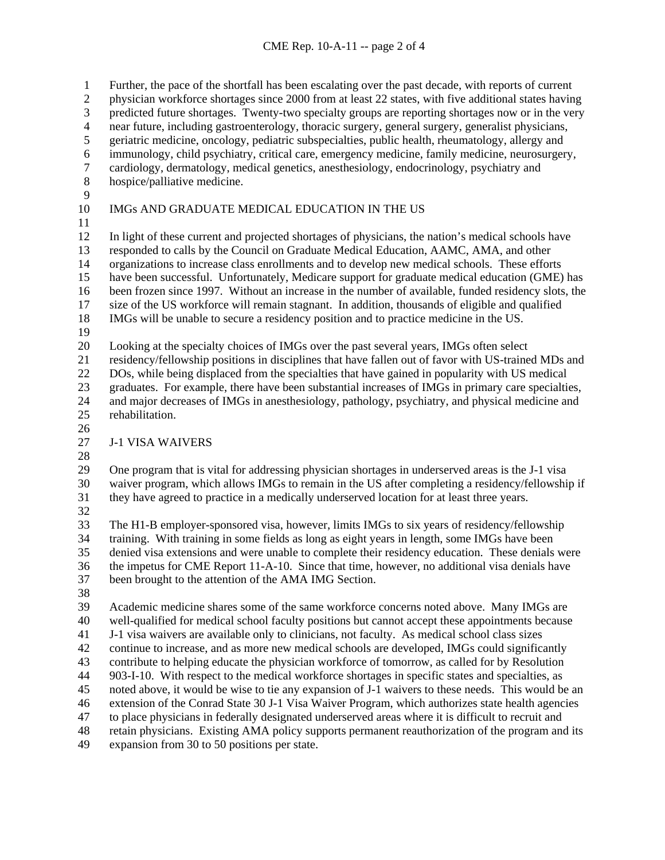Further, the pace of the shortfall has been escalating over the past decade, with reports of current 1

physician workforce shortages since 2000 from at least 22 states, with five additional states having 2

predicted future shortages. Twenty-two specialty groups are reporting shortages now or in the very 3

near future, including gastroenterology, thoracic surgery, general surgery, generalist physicians, 4

- geriatric medicine, oncology, pediatric subspecialties, public health, rheumatology, allergy and 5
- immunology, child psychiatry, critical care, emergency medicine, family medicine, neurosurgery, cardiology, dermatology, medical genetics, anesthesiology, endocrinology, psychiatry and 6 7
- hospice/palliative medicine. 8
- 9

### 10 IMGs AND GRADUATE MEDICAL EDUCATION IN THE US

11

12 13 14 15 16 17 18 In light of these current and projected shortages of physicians, the nation's medical schools have responded to calls by the Council on Graduate Medical Education, AAMC, AMA, and other organizations to increase class enrollments and to develop new medical schools. These efforts have been successful. Unfortunately, Medicare support for graduate medical education (GME) has been frozen since 1997. Without an increase in the number of available, funded residency slots, the size of the US workforce will remain stagnant. In addition, thousands of eligible and qualified IMGs will be unable to secure a residency position and to practice medicine in the US.

19

20 Looking at the specialty choices of IMGs over the past several years, IMGs often select

21 22 residency/fellowship positions in disciplines that have fallen out of favor with US-trained MDs and DOs, while being displaced from the specialties that have gained in popularity with US medical

- 23 24 25 graduates. For example, there have been substantial increases of IMGs in primary care specialties, and major decreases of IMGs in anesthesiology, pathology, psychiatry, and physical medicine and rehabilitation.
- 26

#### 27 J-1 VISA WAIVERS

28

29 30 31 One program that is vital for addressing physician shortages in underserved areas is the J-1 visa waiver program, which allows IMGs to remain in the US after completing a residency/fellowship if they have agreed to practice in a medically underserved location for at least three years.

32

33 34 35 36 37 The H1-B employer-sponsored visa, however, limits IMGs to six years of residency/fellowship training. With training in some fields as long as eight years in length, some IMGs have been denied visa extensions and were unable to complete their residency education. These denials were the impetus for CME Report 11-A-10. Since that time, however, no additional visa denials have been brought to the attention of the AMA IMG Section.

38

39 40 41 42 43 44 45 46 47 48 49 Academic medicine shares some of the same workforce concerns noted above. Many IMGs are well-qualified for medical school faculty positions but cannot accept these appointments because J-1 visa waivers are available only to clinicians, not faculty. As medical school class sizes continue to increase, and as more new medical schools are developed, IMGs could significantly contribute to helping educate the physician workforce of tomorrow, as called for by Resolution 903-I-10. With respect to the medical workforce shortages in specific states and specialties, as noted above, it would be wise to tie any expansion of J-1 waivers to these needs. This would be an extension of the Conrad State 30 J-1 Visa Waiver Program, which authorizes state health agencies to place physicians in federally designated underserved areas where it is difficult to recruit and retain physicians. Existing AMA policy supports permanent reauthorization of the program and its expansion from 30 to 50 positions per state.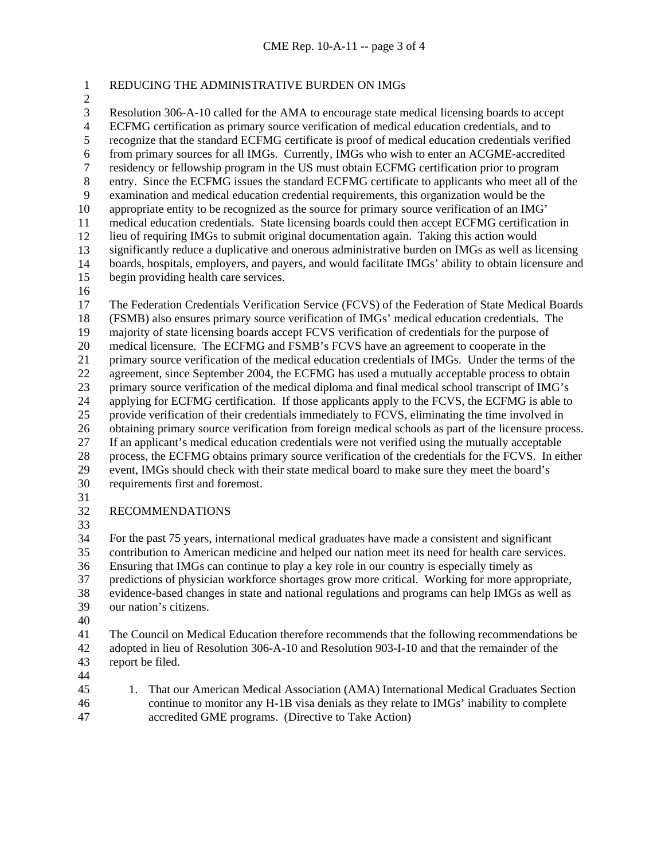# 1 REDUCING THE ADMINISTRATIVE BURDEN ON IMGs

2 3

Resolution 306-A-10 called for the AMA to encourage state medical licensing boards to accept ECFMG certification as primary source verification of medical education credentials, and to recognize that the standard ECFMG certificate is proof of medical education credentials verified from primary sources for all IMGs. Currently, IMGs who wish to enter an ACGME-accredited residency or fellowship program in the US must obtain ECFMG certification prior to program entry. Since the ECFMG issues the standard ECFMG certificate to applicants who meet all of the examination and medical education credential requirements, this organization would be the appropriate entity to be recognized as the source for primary source verification of an IMG' medical education credentials. State licensing boards could then accept ECFMG certification in lieu of requiring IMGs to submit original documentation again. Taking this action would

- 11 12
- 13 14 significantly reduce a duplicative and onerous administrative burden on IMGs as well as licensing boards, hospitals, employers, and payers, and would facilitate IMGs' ability to obtain licensure and
- 15 begin providing health care services.
- 16

17 18 19 20 21 22 23 24 25 26 27 28 29 30 The Federation Credentials Verification Service (FCVS) of the Federation of State Medical Boards (FSMB) also ensures primary source verification of IMGs' medical education credentials. The majority of state licensing boards accept FCVS verification of credentials for the purpose of medical licensure. The ECFMG and FSMB's FCVS have an agreement to cooperate in the primary source verification of the medical education credentials of IMGs. Under the terms of the agreement, since September 2004, the ECFMG has used a mutually acceptable process to obtain primary source verification of the medical diploma and final medical school transcript of IMG's applying for ECFMG certification. If those applicants apply to the FCVS, the ECFMG is able to provide verification of their credentials immediately to FCVS, eliminating the time involved in obtaining primary source verification from foreign medical schools as part of the licensure process. If an applicant's medical education credentials were not verified using the mutually acceptable process, the ECFMG obtains primary source verification of the credentials for the FCVS. In either event, IMGs should check with their state medical board to make sure they meet the board's requirements first and foremost.

31

#### 32 RECOMMENDATIONS

33

34 35 36 37 38 39 For the past 75 years, international medical graduates have made a consistent and significant contribution to American medicine and helped our nation meet its need for health care services. Ensuring that IMGs can continue to play a key role in our country is especially timely as predictions of physician workforce shortages grow more critical. Working for more appropriate, evidence-based changes in state and national regulations and programs can help IMGs as well as our nation's citizens.

40

41 42 43 The Council on Medical Education therefore recommends that the following recommendations be adopted in lieu of Resolution 306-A-10 and Resolution 903-I-10 and that the remainder of the report be filed.

44

45 46 47 1. That our American Medical Association (AMA) International Medical Graduates Section continue to monitor any H-1B visa denials as they relate to IMGs' inability to complete accredited GME programs. (Directive to Take Action)